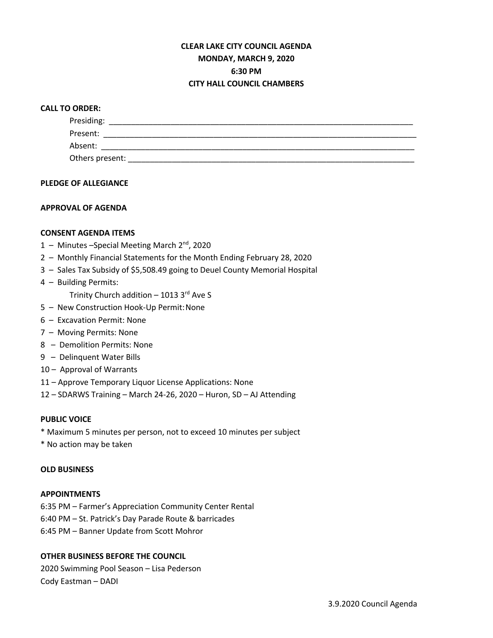# **CLEAR LAKE CITY COUNCIL AGENDA MONDAY, MARCH 9, 2020 6:30 PM CITY HALL COUNCIL CHAMBERS**

## **CALL TO ORDER:**

| Presiding:      |  |  |  |
|-----------------|--|--|--|
| Present:        |  |  |  |
| Absent:         |  |  |  |
| Others present: |  |  |  |

## **PLEDGE OF ALLEGIANCE**

## **APPROVAL OF AGENDA**

## **CONSENT AGENDA ITEMS**

- 1 Minutes Special Meeting March 2<sup>nd</sup>, 2020
- 2 Monthly Financial Statements for the Month Ending February 28, 2020
- 3 Sales Tax Subsidy of \$5,508.49 going to Deuel County Memorial Hospital
- 4 Building Permits:
	- Trinity Church addition  $-10133<sup>rd</sup>$  Ave S
- 5 New Construction Hook-Up Permit:None
- 6 Excavation Permit: None
- 7 Moving Permits: None
- 8 Demolition Permits: None
- 9 Delinquent Water Bills
- 10 Approval of Warrants
- 11 Approve Temporary Liquor License Applications: None
- 12 SDARWS Training March 24-26, 2020 Huron, SD AJ Attending

### **PUBLIC VOICE**

- \* Maximum 5 minutes per person, not to exceed 10 minutes per subject
- \* No action may be taken

#### **OLD BUSINESS**

#### **APPOINTMENTS**

- 6:35 PM Farmer's Appreciation Community Center Rental
- 6:40 PM St. Patrick's Day Parade Route & barricades
- 6:45 PM Banner Update from Scott Mohror

## **OTHER BUSINESS BEFORE THE COUNCIL**

2020 Swimming Pool Season – Lisa Pederson Cody Eastman – DADI